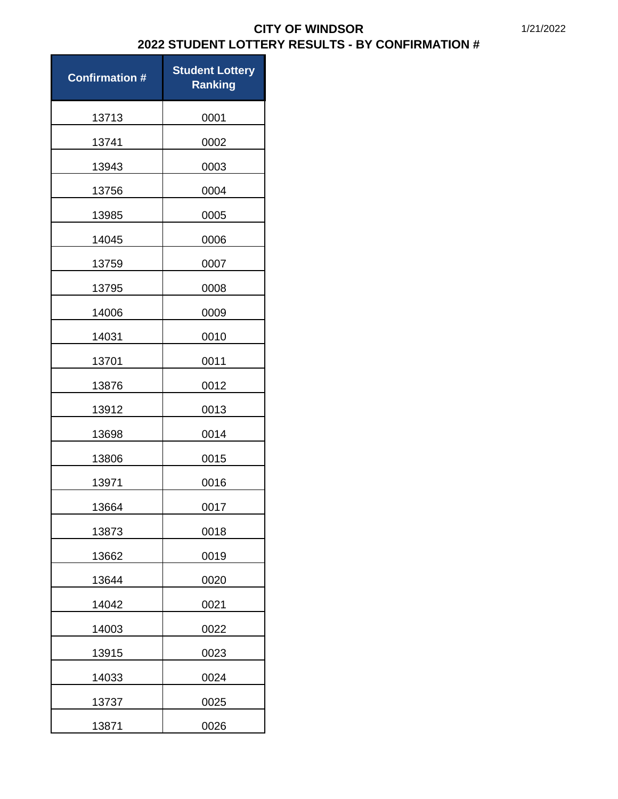| <b>Confirmation #</b> | <b>Student Lottery</b><br><b>Ranking</b> |
|-----------------------|------------------------------------------|
| 13713                 | 0001                                     |
| 13741                 | 0002                                     |
| 13943                 | 0003                                     |
| 13756                 | 0004                                     |
| 13985                 | 0005                                     |
| 14045                 | 0006                                     |
| 13759                 | 0007                                     |
| 13795                 | 0008                                     |
| 14006                 | 0009                                     |
| 14031                 | 0010                                     |
| 13701                 | 0011                                     |
| 13876                 | 0012                                     |
| 13912                 | 0013                                     |
| 13698                 | 0014                                     |
| 13806                 | 0015                                     |
| 13971                 | 0016                                     |
| 13664                 | 0017                                     |
| 13873                 | 0018                                     |
| 13662                 | 0019                                     |
| 13644                 | 0020                                     |
| 14042                 | 0021                                     |
| 14003                 | 0022                                     |
| 13915                 | 0023                                     |
| 14033                 | 0024                                     |
| 13737                 | 0025                                     |
| 13871                 | 0026                                     |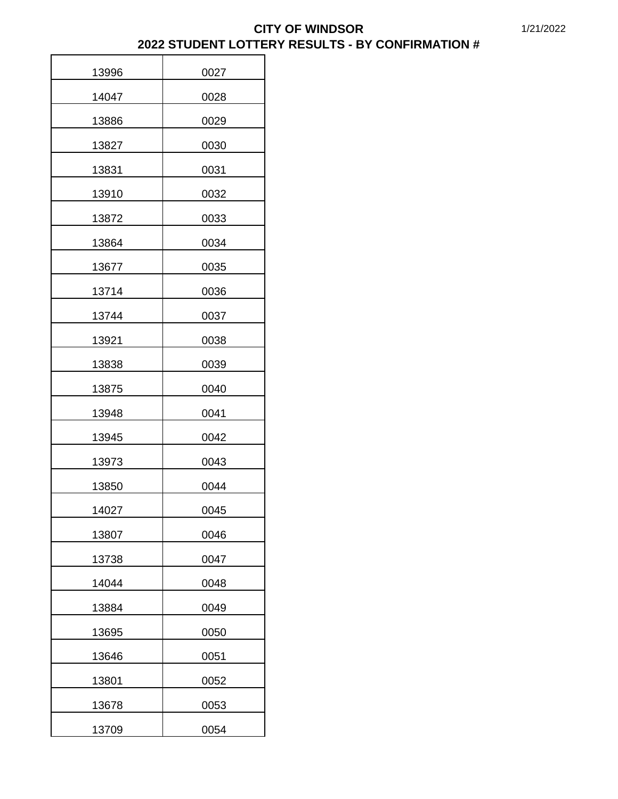| 13996 | 0027 |
|-------|------|
| 14047 | 0028 |
| 13886 | 0029 |
| 13827 | 0030 |
| 13831 | 0031 |
| 13910 | 0032 |
| 13872 | 0033 |
| 13864 | 0034 |
| 13677 | 0035 |
| 13714 | 0036 |
| 13744 | 0037 |
| 13921 | 0038 |
| 13838 | 0039 |
| 13875 | 0040 |
| 13948 | 0041 |
| 13945 | 0042 |
| 13973 | 0043 |
| 13850 | 0044 |
| 14027 | 0045 |
| 13807 | 0046 |
| 13738 | 0047 |
| 14044 | 0048 |
| 13884 | 0049 |
| 13695 | 0050 |
| 13646 | 0051 |
| 13801 | 0052 |
| 13678 | 0053 |
| 13709 | 0054 |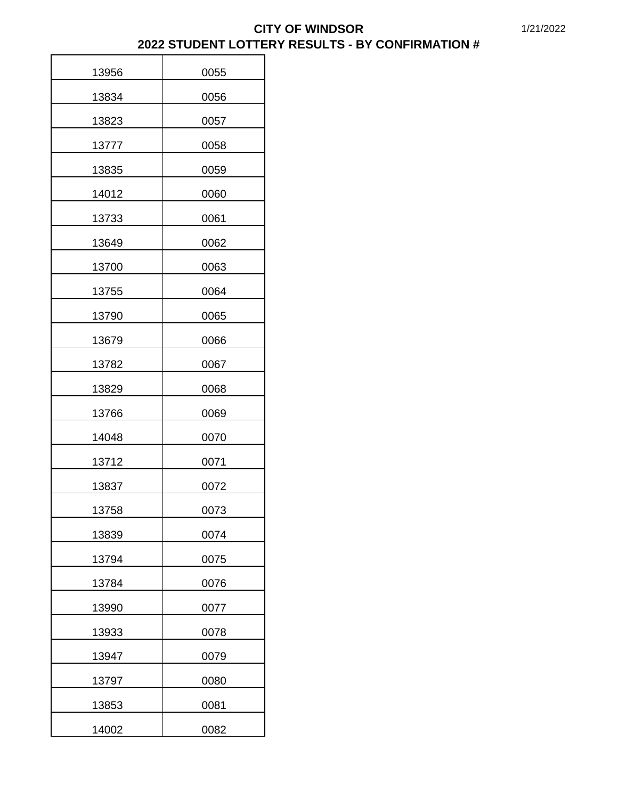| 13956 | 0055 |
|-------|------|
| 13834 | 0056 |
| 13823 | 0057 |
| 13777 | 0058 |
| 13835 | 0059 |
| 14012 | 0060 |
| 13733 | 0061 |
| 13649 | 0062 |
| 13700 | 0063 |
| 13755 | 0064 |
| 13790 | 0065 |
| 13679 | 0066 |
| 13782 | 0067 |
| 13829 | 0068 |
| 13766 | 0069 |
| 14048 | 0070 |
| 13712 | 0071 |
| 13837 | 0072 |
| 13758 | 0073 |
| 13839 | 0074 |
| 13794 | 0075 |
| 13784 | 0076 |
| 13990 | 0077 |
| 13933 | 0078 |
| 13947 | 0079 |
| 13797 | 0080 |
| 13853 | 0081 |
| 14002 | 0082 |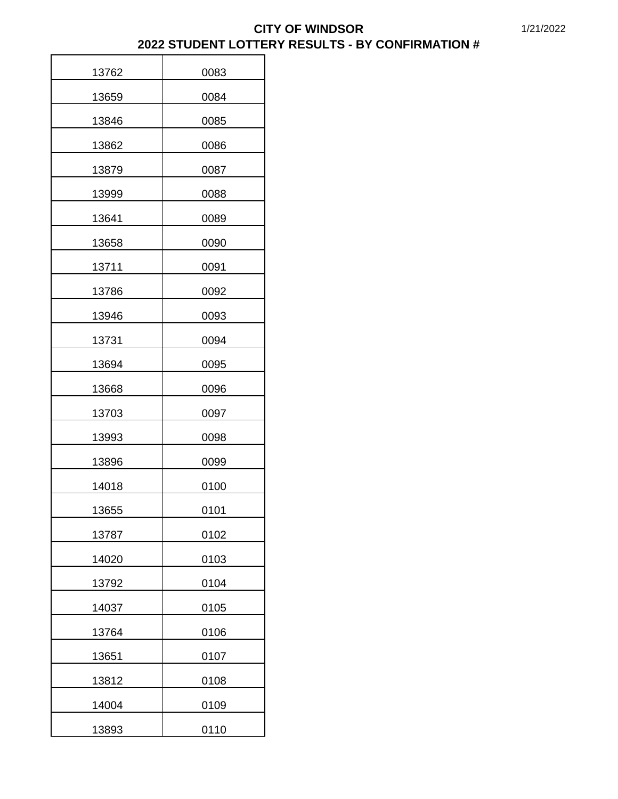| 13762 | 0083 |
|-------|------|
| 13659 | 0084 |
| 13846 | 0085 |
| 13862 | 0086 |
| 13879 | 0087 |
| 13999 | 0088 |
| 13641 | 0089 |
| 13658 | 0090 |
| 13711 | 0091 |
| 13786 | 0092 |
| 13946 | 0093 |
| 13731 | 0094 |
| 13694 | 0095 |
| 13668 | 0096 |
| 13703 | 0097 |
| 13993 | 0098 |
| 13896 | 0099 |
| 14018 | 0100 |
| 13655 | 0101 |
| 13787 | 0102 |
| 14020 | 0103 |
| 13792 | 0104 |
| 14037 | 0105 |
| 13764 | 0106 |
| 13651 | 0107 |
| 13812 | 0108 |
| 14004 | 0109 |
| 13893 | 0110 |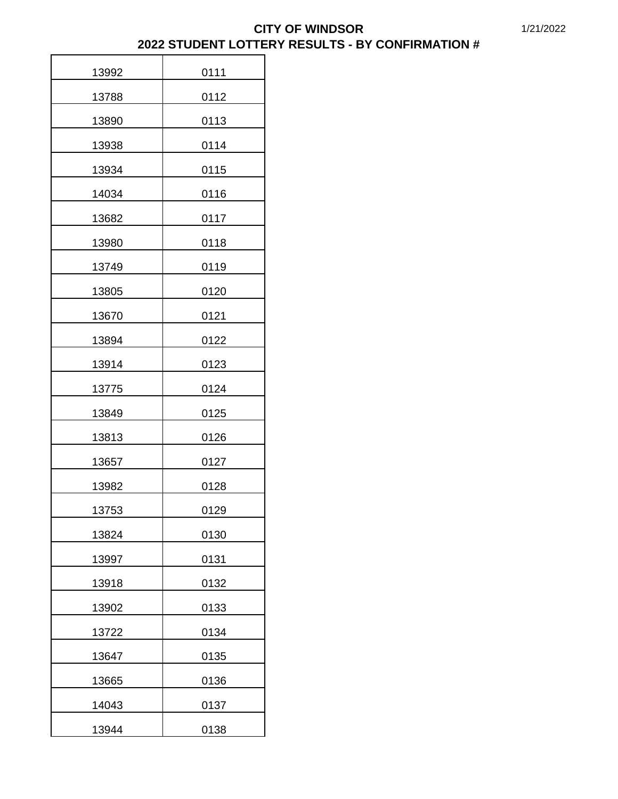| 13992 | 0111 |
|-------|------|
| 13788 | 0112 |
| 13890 | 0113 |
| 13938 | 0114 |
| 13934 | 0115 |
| 14034 | 0116 |
| 13682 | 0117 |
| 13980 | 0118 |
| 13749 | 0119 |
| 13805 | 0120 |
| 13670 | 0121 |
| 13894 | 0122 |
| 13914 | 0123 |
| 13775 | 0124 |
| 13849 | 0125 |
| 13813 | 0126 |
| 13657 | 0127 |
| 13982 | 0128 |
| 13753 | 0129 |
| 13824 | 0130 |
| 13997 | 0131 |
| 13918 | 0132 |
| 13902 | 0133 |
| 13722 | 0134 |
| 13647 | 0135 |
| 13665 | 0136 |
| 14043 | 0137 |
| 13944 | 0138 |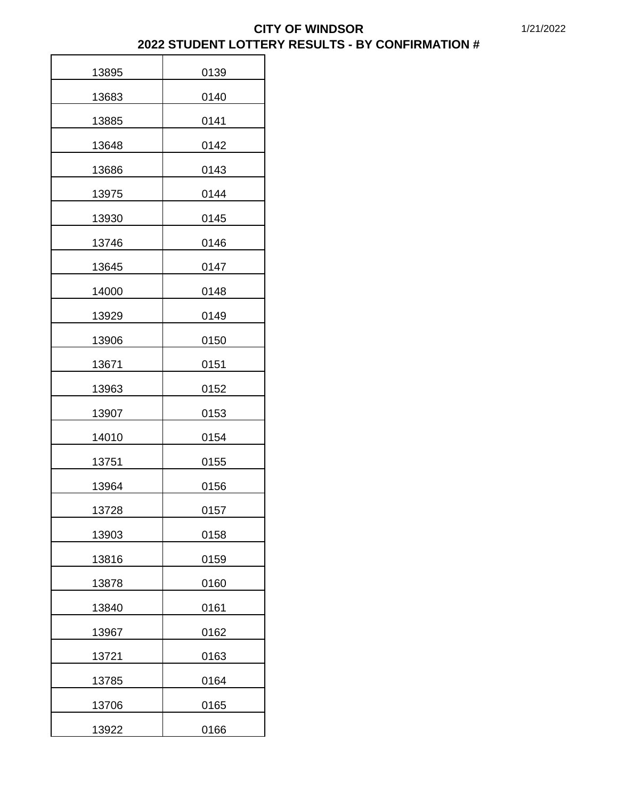| 13895 | 0139 |
|-------|------|
| 13683 | 0140 |
| 13885 | 0141 |
| 13648 | 0142 |
| 13686 | 0143 |
| 13975 | 0144 |
| 13930 | 0145 |
| 13746 | 0146 |
| 13645 | 0147 |
| 14000 | 0148 |
| 13929 | 0149 |
| 13906 | 0150 |
| 13671 | 0151 |
| 13963 | 0152 |
| 13907 | 0153 |
| 14010 | 0154 |
| 13751 | 0155 |
| 13964 | 0156 |
| 13728 | 0157 |
| 13903 | 0158 |
| 13816 | 0159 |
| 13878 | 0160 |
| 13840 | 0161 |
| 13967 | 0162 |
| 13721 | 0163 |
| 13785 | 0164 |
| 13706 | 0165 |
| 13922 | 0166 |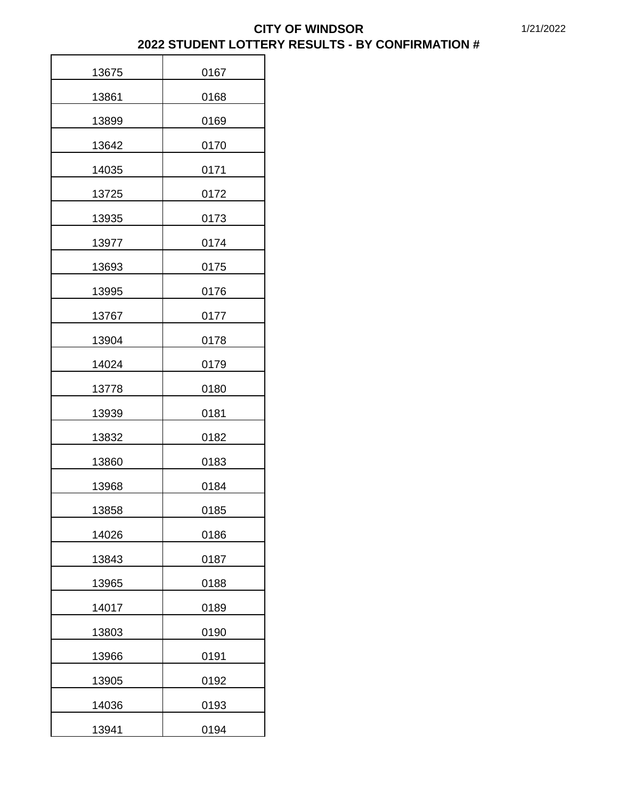| 13675 | 0167 |
|-------|------|
| 13861 | 0168 |
| 13899 | 0169 |
| 13642 | 0170 |
| 14035 | 0171 |
| 13725 | 0172 |
| 13935 | 0173 |
| 13977 | 0174 |
| 13693 | 0175 |
| 13995 | 0176 |
| 13767 | 0177 |
| 13904 | 0178 |
| 14024 | 0179 |
| 13778 | 0180 |
| 13939 | 0181 |
| 13832 | 0182 |
| 13860 | 0183 |
| 13968 | 0184 |
| 13858 | 0185 |
| 14026 | 0186 |
| 13843 | 0187 |
| 13965 | 0188 |
| 14017 | 0189 |
| 13803 | 0190 |
| 13966 | 0191 |
| 13905 | 0192 |
| 14036 | 0193 |
| 13941 | 0194 |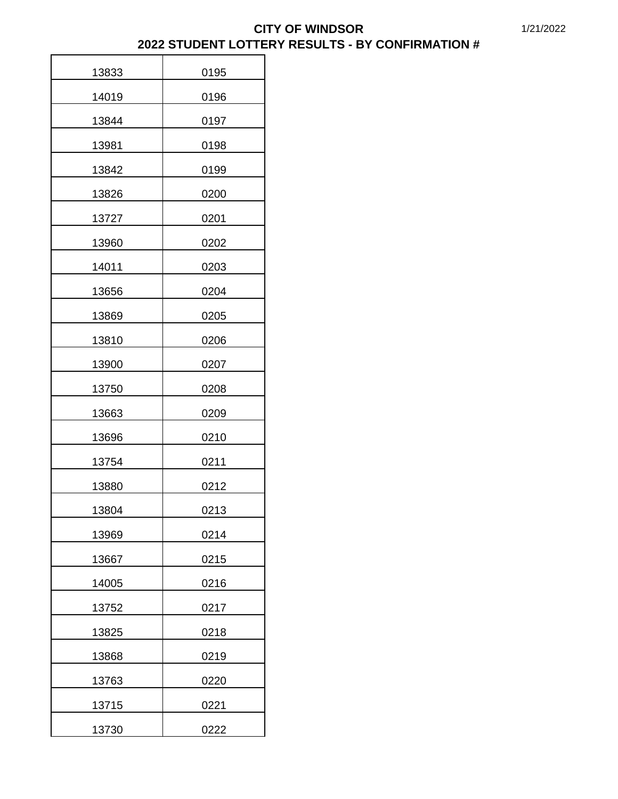| 13833 | 0195 |
|-------|------|
| 14019 | 0196 |
| 13844 | 0197 |
| 13981 | 0198 |
| 13842 | 0199 |
| 13826 | 0200 |
| 13727 | 0201 |
| 13960 | 0202 |
| 14011 | 0203 |
| 13656 | 0204 |
| 13869 | 0205 |
| 13810 | 0206 |
| 13900 | 0207 |
| 13750 | 0208 |
| 13663 | 0209 |
| 13696 | 0210 |
| 13754 | 0211 |
| 13880 | 0212 |
| 13804 | 0213 |
| 13969 | 0214 |
| 13667 | 0215 |
| 14005 | 0216 |
| 13752 | 0217 |
| 13825 | 0218 |
| 13868 | 0219 |
| 13763 | 0220 |
| 13715 | 0221 |
| 13730 | 0222 |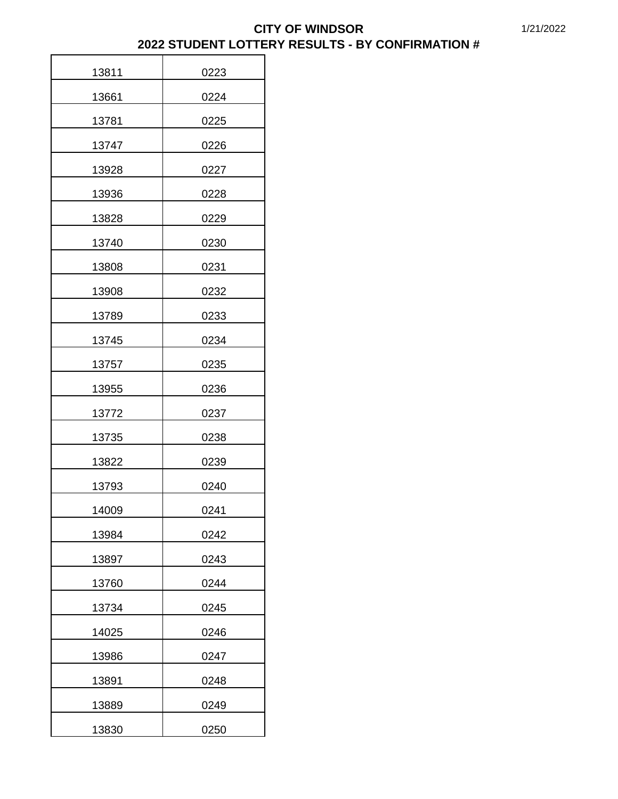| 13811 | 0223 |
|-------|------|
| 13661 | 0224 |
| 13781 | 0225 |
| 13747 | 0226 |
| 13928 | 0227 |
| 13936 | 0228 |
| 13828 | 0229 |
| 13740 | 0230 |
| 13808 | 0231 |
| 13908 | 0232 |
| 13789 | 0233 |
| 13745 | 0234 |
| 13757 | 0235 |
| 13955 | 0236 |
| 13772 | 0237 |
| 13735 | 0238 |
| 13822 | 0239 |
| 13793 | 0240 |
| 14009 | 0241 |
| 13984 | 0242 |
| 13897 | 0243 |
| 13760 | 0244 |
| 13734 | 0245 |
| 14025 | 0246 |
| 13986 | 0247 |
| 13891 | 0248 |
| 13889 | 0249 |
| 13830 | 0250 |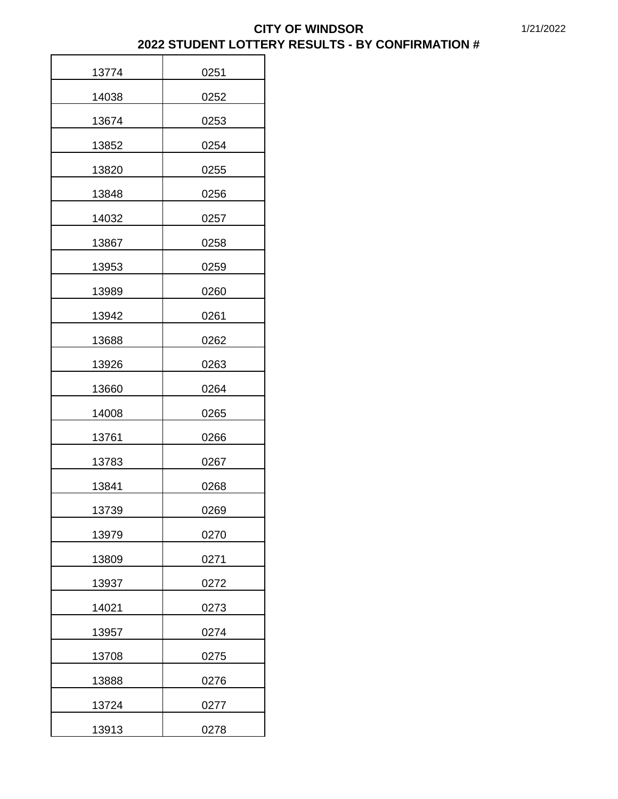| 13774 | 0251 |
|-------|------|
| 14038 | 0252 |
| 13674 | 0253 |
| 13852 | 0254 |
| 13820 | 0255 |
| 13848 | 0256 |
| 14032 | 0257 |
| 13867 | 0258 |
| 13953 | 0259 |
| 13989 | 0260 |
| 13942 | 0261 |
| 13688 | 0262 |
| 13926 | 0263 |
| 13660 | 0264 |
| 14008 | 0265 |
| 13761 | 0266 |
| 13783 | 0267 |
| 13841 | 0268 |
| 13739 | 0269 |
| 13979 | 0270 |
| 13809 | 0271 |
| 13937 | 0272 |
| 14021 | 0273 |
| 13957 | 0274 |
| 13708 | 0275 |
| 13888 | 0276 |
| 13724 | 0277 |
| 13913 | 0278 |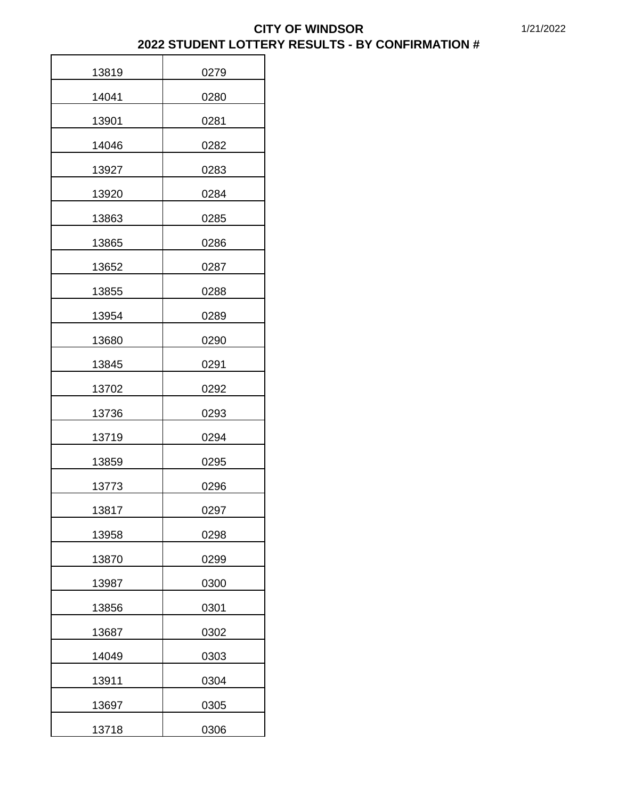| 13819 | 0279 |
|-------|------|
| 14041 | 0280 |
| 13901 | 0281 |
| 14046 | 0282 |
| 13927 | 0283 |
| 13920 | 0284 |
| 13863 | 0285 |
| 13865 | 0286 |
| 13652 | 0287 |
| 13855 | 0288 |
| 13954 | 0289 |
| 13680 | 0290 |
| 13845 | 0291 |
| 13702 | 0292 |
| 13736 | 0293 |
| 13719 | 0294 |
| 13859 | 0295 |
| 13773 | 0296 |
| 13817 | 0297 |
| 13958 | 0298 |
| 13870 | 0299 |
| 13987 | 0300 |
| 13856 | 0301 |
| 13687 | 0302 |
| 14049 | 0303 |
| 13911 | 0304 |
| 13697 | 0305 |
| 13718 | 0306 |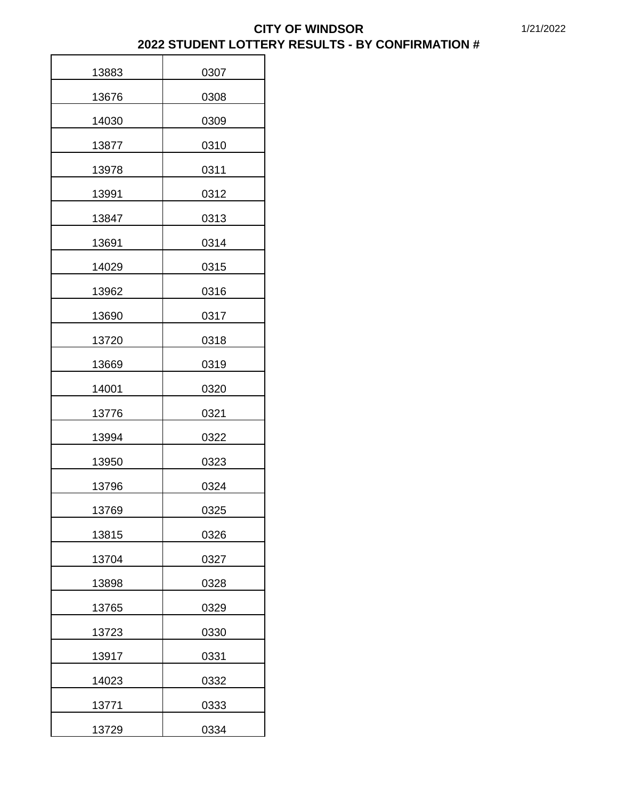| 13883 | 0307 |
|-------|------|
| 13676 | 0308 |
| 14030 | 0309 |
| 13877 | 0310 |
| 13978 | 0311 |
| 13991 | 0312 |
| 13847 | 0313 |
| 13691 | 0314 |
| 14029 | 0315 |
| 13962 | 0316 |
| 13690 | 0317 |
| 13720 | 0318 |
| 13669 | 0319 |
| 14001 | 0320 |
| 13776 | 0321 |
| 13994 | 0322 |
| 13950 | 0323 |
| 13796 | 0324 |
| 13769 | 0325 |
| 13815 | 0326 |
| 13704 | 0327 |
| 13898 | 0328 |
| 13765 | 0329 |
| 13723 | 0330 |
| 13917 | 0331 |
| 14023 | 0332 |
| 13771 | 0333 |
| 13729 | 0334 |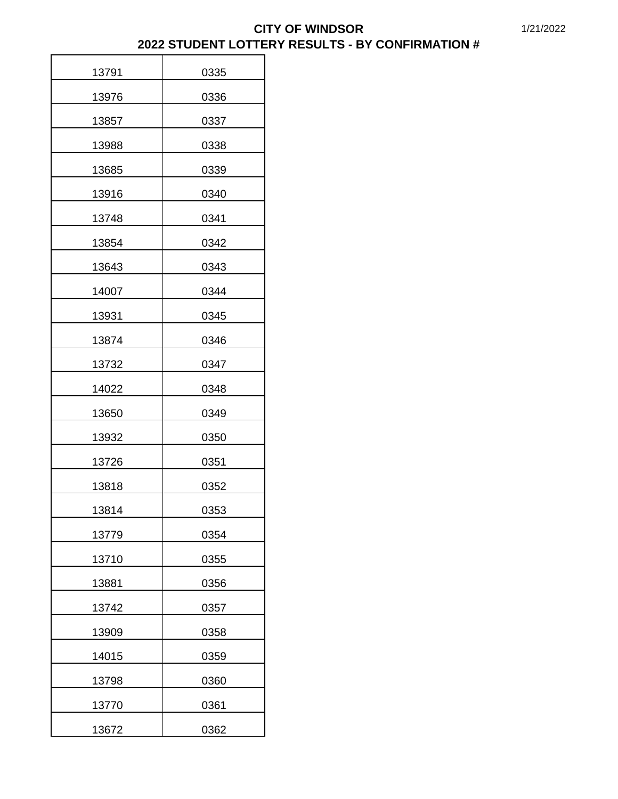| 13791 | 0335 |
|-------|------|
| 13976 | 0336 |
| 13857 | 0337 |
| 13988 | 0338 |
| 13685 | 0339 |
| 13916 | 0340 |
| 13748 | 0341 |
| 13854 | 0342 |
| 13643 | 0343 |
| 14007 | 0344 |
| 13931 | 0345 |
| 13874 | 0346 |
| 13732 | 0347 |
| 14022 | 0348 |
| 13650 | 0349 |
| 13932 | 0350 |
| 13726 | 0351 |
| 13818 | 0352 |
| 13814 | 0353 |
| 13779 | 0354 |
| 13710 | 0355 |
| 13881 | 0356 |
| 13742 | 0357 |
| 13909 | 0358 |
| 14015 | 0359 |
| 13798 | 0360 |
| 13770 | 0361 |
| 13672 | 0362 |